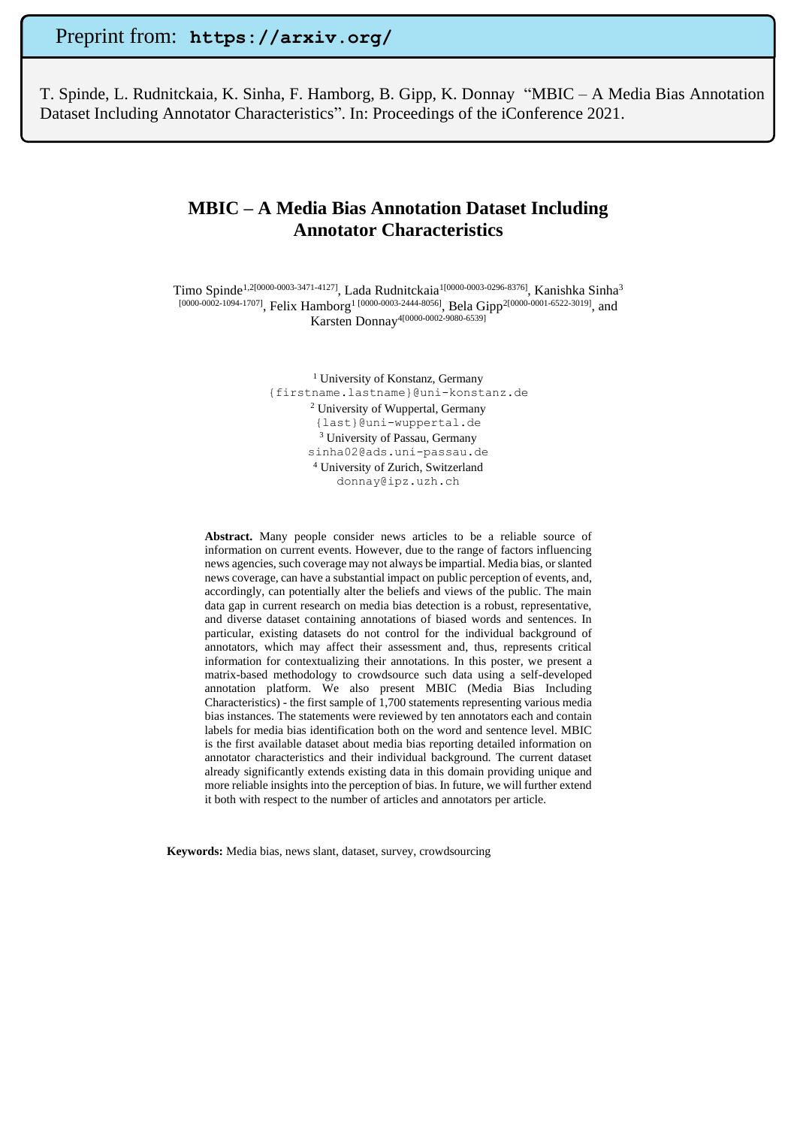Preprint from: **https://arxiv.org/**

T. Spinde, L. Rudnitckaia, K. Sinha, F. Hamborg, B. Gipp, K. Donnay "MBIC – A Media Bias Annotation Dataset Including Annotator Characteristics". In: Proceedings of the iConference 2021.

# **MBIC – A Media Bias Annotation Dataset Including Annotator Characteristics**

Timo Spinde<sup>1,2[0000-0003-3471-4127]</sup>, Lada Rudnitckaia<sup>1[0000-0003-0296-8376], Kanishka Sinha<sup>3</sup></sup> [0000-0002-1094-1707], Felix Hamborg<sup>1</sup> [0000-0003-2444-8056], Bela Gipp<sup>2[0000-0001-6522-3019]</sup>, and Karsten Donnay4[0000-0002-9080-6539]

> <sup>1</sup> University of Konstanz, Germany {firstname.lastname}@uni-konstanz.de <sup>2</sup> University of Wuppertal, Germany {last}@uni-wuppertal.de <sup>3</sup> University of Passau, Germany sinha02@ads.uni-passau.de <sup>4</sup> University of Zurich, Switzerland donnay@ipz.uzh.ch

**Abstract.** Many people consider news articles to be a reliable source of information on current events. However, due to the range of factors influencing news agencies, such coverage may not always be impartial. Media bias, or slanted news coverage, can have a substantial impact on public perception of events, and, accordingly, can potentially alter the beliefs and views of the public. The main data gap in current research on media bias detection is a robust, representative, and diverse dataset containing annotations of biased words and sentences. In particular, existing datasets do not control for the individual background of annotators, which may affect their assessment and, thus, represents critical information for contextualizing their annotations. In this poster, we present a matrix-based methodology to crowdsource such data using a self-developed annotation platform. We also present MBIC (Media Bias Including Characteristics) - the first sample of 1,700 statements representing various media bias instances. The statements were reviewed by ten annotators each and contain labels for media bias identification both on the word and sentence level. MBIC is the first available dataset about media bias reporting detailed information on annotator characteristics and their individual background. The current dataset already significantly extends existing data in this domain providing unique and more reliable insights into the perception of bias. In future, we will further extend it both with respect to the number of articles and annotators per article.

**Keywords:** Media bias, news slant, dataset, survey, crowdsourcing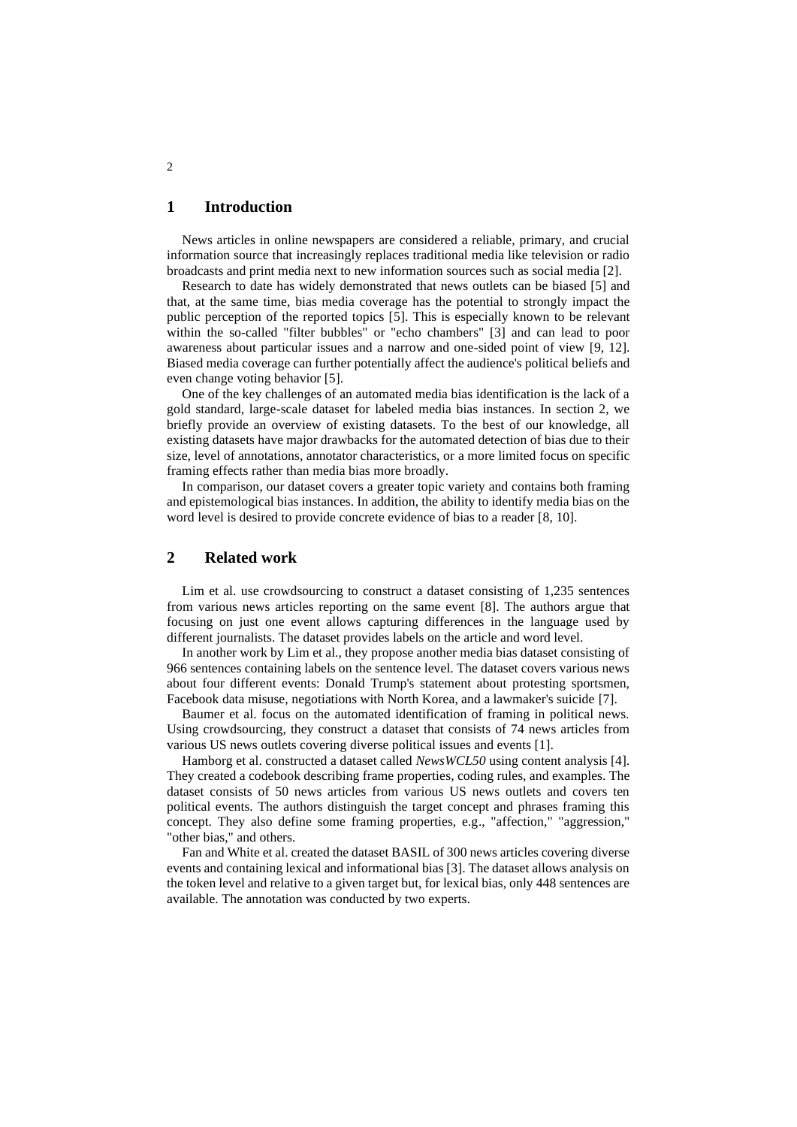#### **1 Introduction**

News articles in online newspapers are considered a reliable, primary, and crucial information source that increasingly replaces traditional media like television or radio broadcasts and print media next to new information sources such as social media [2].

Research to date has widely demonstrated that news outlets can be biased [5] and that, at the same time, bias media coverage has the potential to strongly impact the public perception of the reported topics [5]. This is especially known to be relevant within the so-called "filter bubbles" or "echo chambers" [3] and can lead to poor awareness about particular issues and a narrow and one-sided point of view [9, 12]. Biased media coverage can further potentially affect the audience's political beliefs and even change voting behavior [5].

One of the key challenges of an automated media bias identification is the lack of a gold standard, large-scale dataset for labeled media bias instances. In section 2, we briefly provide an overview of existing datasets. To the best of our knowledge, all existing datasets have major drawbacks for the automated detection of bias due to their size, level of annotations, annotator characteristics, or a more limited focus on specific framing effects rather than media bias more broadly.

In comparison, our dataset covers a greater topic variety and contains both framing and epistemological bias instances. In addition, the ability to identify media bias on the word level is desired to provide concrete evidence of bias to a reader [8, 10].

### **2 Related work**

Lim et al. use crowdsourcing to construct a dataset consisting of 1,235 sentences from various news articles reporting on the same event [8]. The authors argue that focusing on just one event allows capturing differences in the language used by different journalists. The dataset provides labels on the article and word level.

In another work by Lim et al., they propose another media bias dataset consisting of 966 sentences containing labels on the sentence level. The dataset covers various news about four different events: Donald Trump's statement about protesting sportsmen, Facebook data misuse, negotiations with North Korea, and a lawmaker's suicide [7].

Baumer et al. focus on the automated identification of framing in political news. Using crowdsourcing, they construct a dataset that consists of 74 news articles from various US news outlets covering diverse political issues and events [1].

Hamborg et al. constructed a dataset called *NewsWCL50* using content analysis [4]. They created a codebook describing frame properties, coding rules, and examples. The dataset consists of 50 news articles from various US news outlets and covers ten political events. The authors distinguish the target concept and phrases framing this concept. They also define some framing properties, e.g., "affection," "aggression," "other bias," and others.

Fan and White et al. created the dataset BASIL of 300 news articles covering diverse events and containing lexical and informational bias [3]. The dataset allows analysis on the token level and relative to a given target but, for lexical bias, only 448 sentences are available. The annotation was conducted by two experts.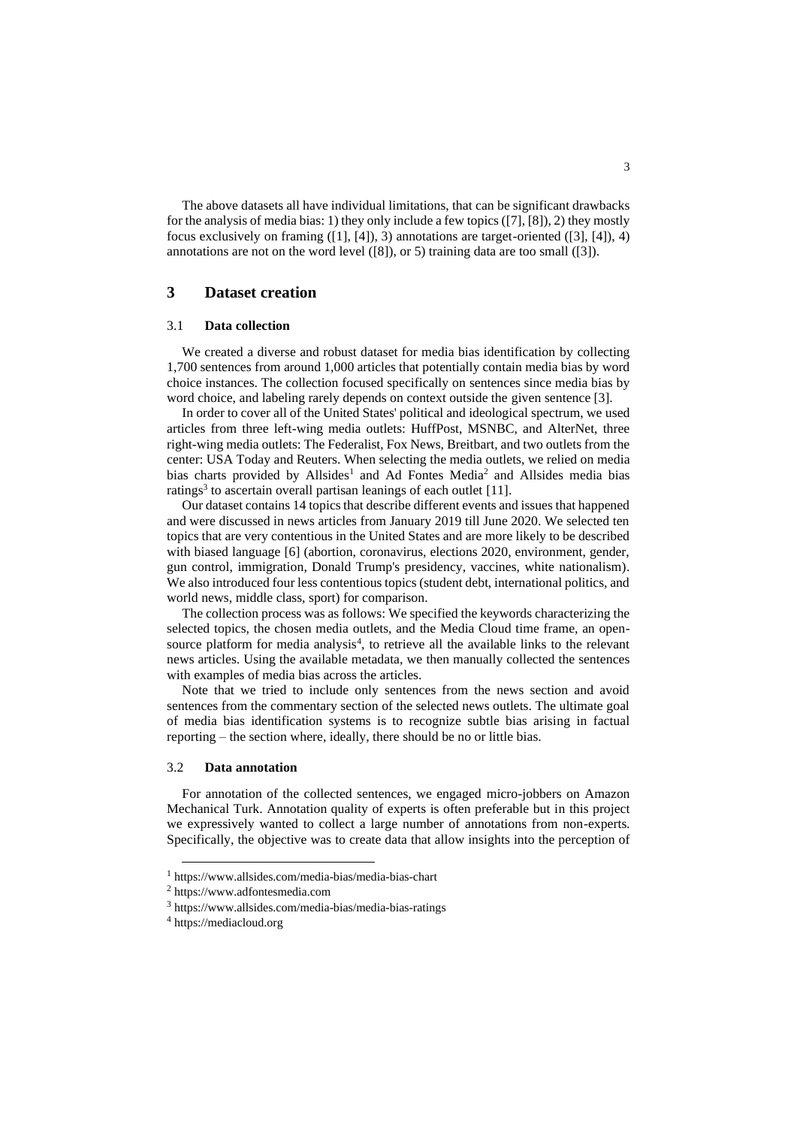The above datasets all have individual limitations, that can be significant drawbacks for the analysis of media bias: 1) they only include a few topics ([7], [8]), 2) they mostly focus exclusively on framing  $([1], [4])$ , 3) annotations are target-oriented  $([3], [4])$ , 4) annotations are not on the word level ([8]), or 5) training data are too small ([3]).

### **3 Dataset creation**

#### 3.1 **Data collection**

We created a diverse and robust dataset for media bias identification by collecting 1,700 sentences from around 1,000 articles that potentially contain media bias by word choice instances. The collection focused specifically on sentences since media bias by word choice, and labeling rarely depends on context outside the given sentence [3].

In order to cover all of the United States' political and ideological spectrum, we used articles from three left-wing media outlets: HuffPost, MSNBC, and AlterNet, three right-wing media outlets: The Federalist, Fox News, Breitbart, and two outlets from the center: USA Today and Reuters. When selecting the media outlets, we relied on media bias charts provided by Allsides<sup>1</sup> and Ad Fontes Media<sup>2</sup> and Allsides media bias ratings<sup>3</sup> to ascertain overall partisan leanings of each outlet [11].

Our dataset contains 14 topics that describe different events and issues that happened and were discussed in news articles from January 2019 till June 2020. We selected ten topics that are very contentious in the United States and are more likely to be described with biased language [6] (abortion, coronavirus, elections 2020, environment, gender, gun control, immigration, Donald Trump's presidency, vaccines, white nationalism). We also introduced four less contentious topics (student debt, international politics, and world news, middle class, sport) for comparison.

The collection process was as follows: We specified the keywords characterizing the selected topics, the chosen media outlets, and the Media Cloud time frame, an opensource platform for media analysis<sup>4</sup>, to retrieve all the available links to the relevant news articles. Using the available metadata, we then manually collected the sentences with examples of media bias across the articles.

Note that we tried to include only sentences from the news section and avoid sentences from the commentary section of the selected news outlets. The ultimate goal of media bias identification systems is to recognize subtle bias arising in factual reporting – the section where, ideally, there should be no or little bias.

#### 3.2 **Data annotation**

For annotation of the collected sentences, we engaged micro-jobbers on Amazon Mechanical Turk. Annotation quality of experts is often preferable but in this project we expressively wanted to collect a large number of annotations from non-experts. Specifically, the objective was to create data that allow insights into the perception of

<sup>1</sup> https://www.allsides.com/media-bias/media-bias-chart

<sup>2</sup> https://www.adfontesmedia.com

<sup>3</sup> https://www.allsides.com/media-bias/media-bias-ratings

<sup>4</sup> https://mediacloud.org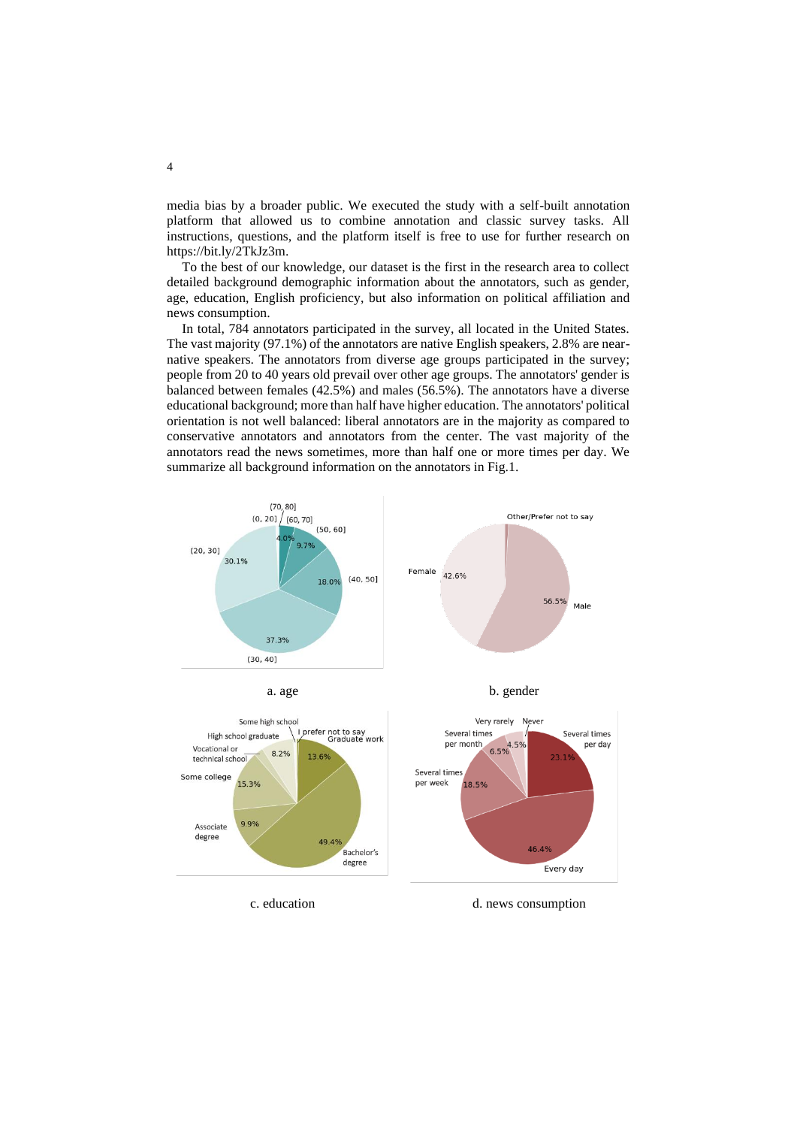media bias by a broader public. We executed the study with a self-built annotation platform that allowed us to combine annotation and classic survey tasks. All instructions, questions, and the platform itself is free to use for further research on [https://bit.ly/2TkJz3m.](https://bit.ly/2TkJz3m) 

To the best of our knowledge, our dataset is the first in the research area to collect detailed background demographic information about the annotators, such as gender, age, education, English proficiency, but also information on political affiliation and news consumption.

In total, 784 annotators participated in the survey, all located in the United States. The vast majority (97.1%) of the annotators are native English speakers, 2.8% are nearnative speakers. The annotators from diverse age groups participated in the survey; people from 20 to 40 years old prevail over other age groups. The annotators' gender is balanced between females (42.5%) and males (56.5%). The annotators have a diverse educational background; more than half have higher education. The annotators' political orientation is not well balanced: liberal annotators are in the majority as compared to conservative annotators and annotators from the center. The vast majority of the annotators read the news sometimes, more than half one or more times per day. We summarize all background information on the annotators in Fig.1.

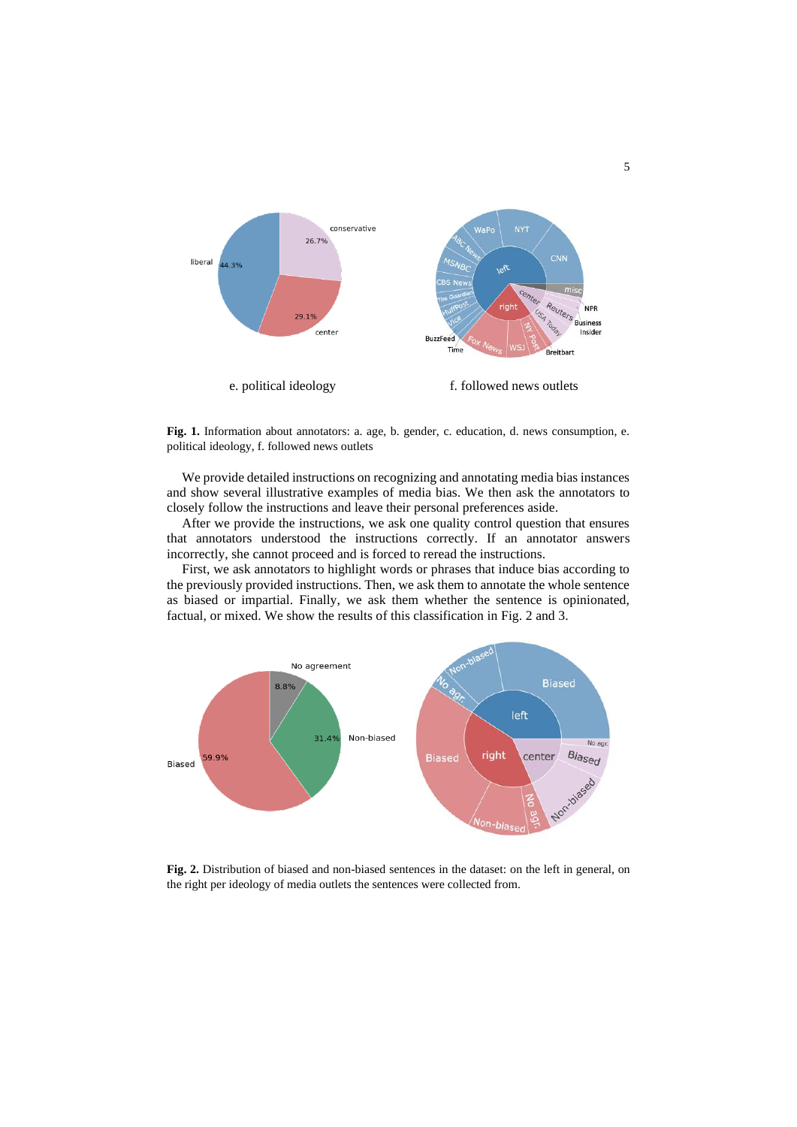

**Fig. 1.** Information about annotators: a. age, b. gender, c. education, d. news consumption, e. political ideology, f. followed news outlets

We provide detailed instructions on recognizing and annotating media bias instances and show several illustrative examples of media bias. We then ask the annotators to closely follow the instructions and leave their personal preferences aside.

After we provide the instructions, we ask one quality control question that ensures that annotators understood the instructions correctly. If an annotator answers incorrectly, she cannot proceed and is forced to reread the instructions.

First, we ask annotators to highlight words or phrases that induce bias according to the previously provided instructions. Then, we ask them to annotate the whole sentence as biased or impartial. Finally, we ask them whether the sentence is opinionated, factual, or mixed. We show the results of this classification in Fig. 2 and 3.



**Fig. 2.** Distribution of biased and non-biased sentences in the dataset: on the left in general, on the right per ideology of media outlets the sentences were collected from.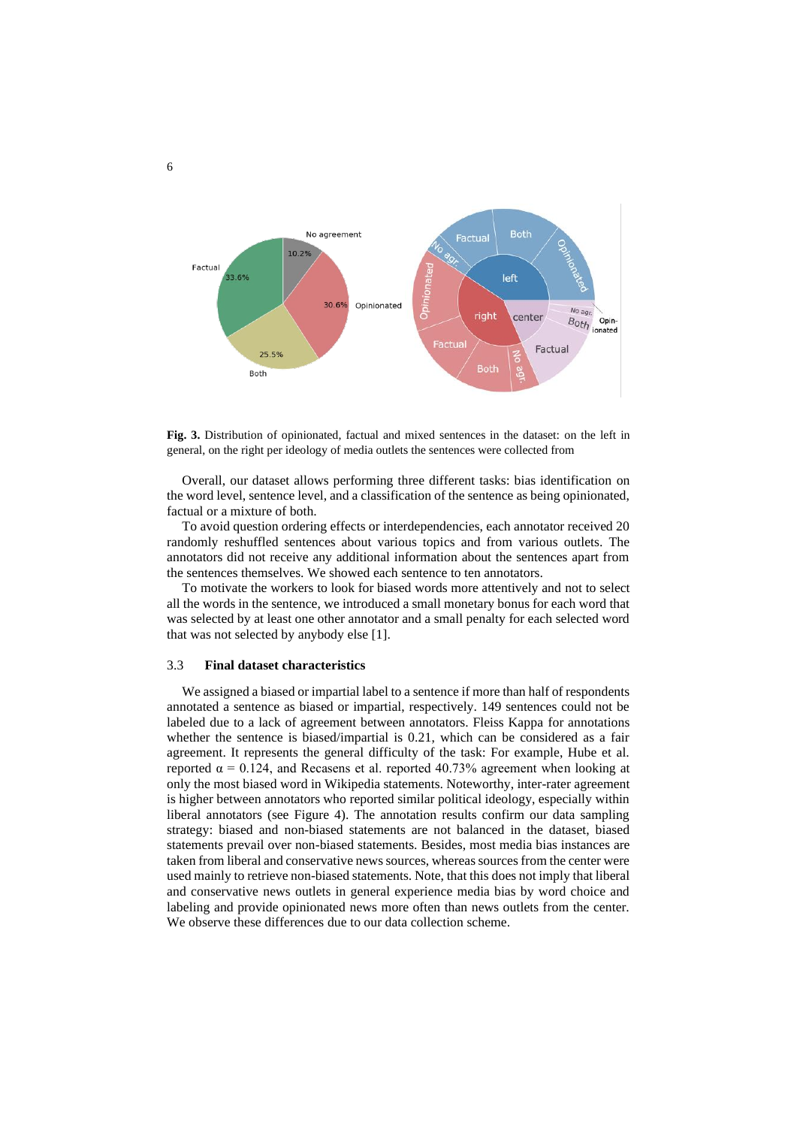

**Fig. 3.** Distribution of opinionated, factual and mixed sentences in the dataset: on the left in general, on the right per ideology of media outlets the sentences were collected from

Overall, our dataset allows performing three different tasks: bias identification on the word level, sentence level, and a classification of the sentence as being opinionated, factual or a mixture of both.

To avoid question ordering effects or interdependencies, each annotator received 20 randomly reshuffled sentences about various topics and from various outlets. The annotators did not receive any additional information about the sentences apart from the sentences themselves. We showed each sentence to ten annotators.

To motivate the workers to look for biased words more attentively and not to select all the words in the sentence, we introduced a small monetary bonus for each word that was selected by at least one other annotator and a small penalty for each selected word that was not selected by anybody else [1].

#### 3.3 **Final dataset characteristics**

We assigned a biased or impartial label to a sentence if more than half of respondents annotated a sentence as biased or impartial, respectively. 149 sentences could not be labeled due to a lack of agreement between annotators. Fleiss Kappa for annotations whether the sentence is biased/impartial is 0.21, which can be considered as a fair agreement. It represents the general difficulty of the task: For example, Hube et al. reported  $α = 0.124$ , and Recasens et al. reported 40.73% agreement when looking at only the most biased word in Wikipedia statements. Noteworthy, inter-rater agreement is higher between annotators who reported similar political ideology, especially within liberal annotators (see Figure 4). The annotation results confirm our data sampling strategy: biased and non-biased statements are not balanced in the dataset, biased statements prevail over non-biased statements. Besides, most media bias instances are taken from liberal and conservative news sources, whereas sources from the center were used mainly to retrieve non-biased statements. Note, that this does not imply that liberal and conservative news outlets in general experience media bias by word choice and labeling and provide opinionated news more often than news outlets from the center. We observe these differences due to our data collection scheme.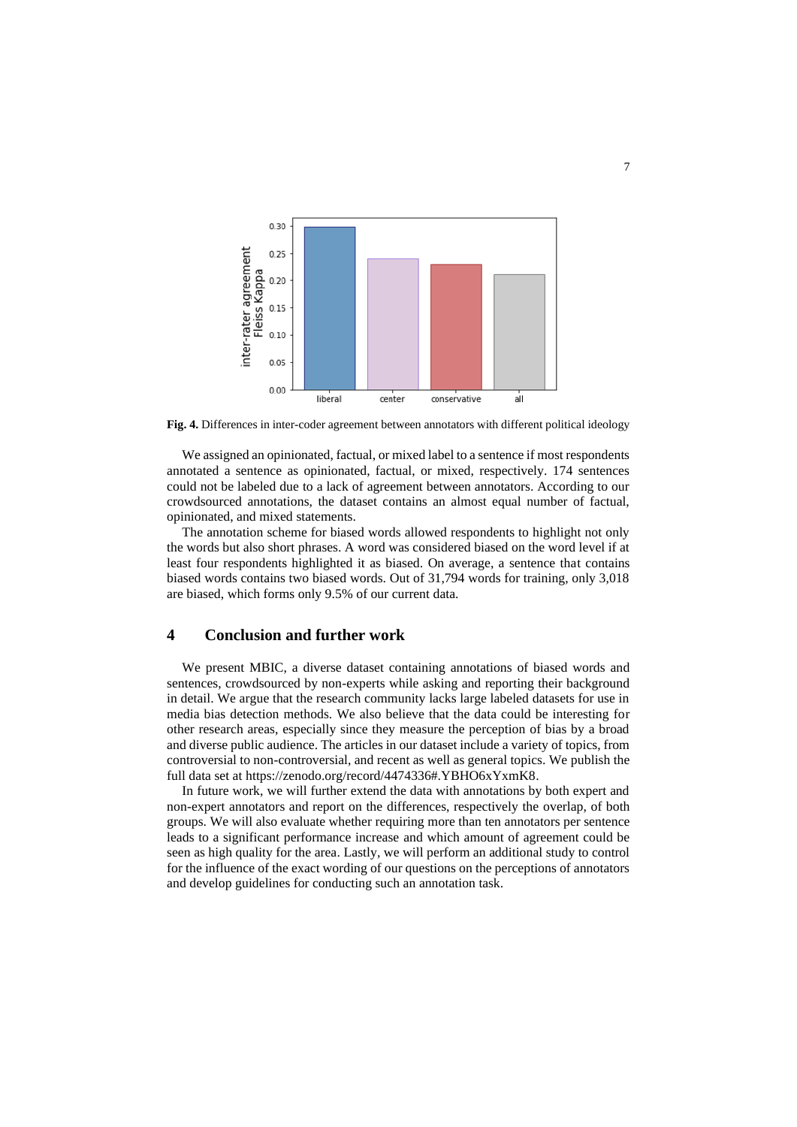

**Fig. 4.** Differences in inter-coder agreement between annotators with different political ideology

We assigned an opinionated, factual, or mixed label to a sentence if most respondents annotated a sentence as opinionated, factual, or mixed, respectively. 174 sentences could not be labeled due to a lack of agreement between annotators. According to our crowdsourced annotations, the dataset contains an almost equal number of factual, opinionated, and mixed statements.

The annotation scheme for biased words allowed respondents to highlight not only the words but also short phrases. A word was considered biased on the word level if at least four respondents highlighted it as biased. On average, a sentence that contains biased words contains two biased words. Out of 31,794 words for training, only 3,018 are biased, which forms only 9.5% of our current data.

#### **4 Conclusion and further work**

We present MBIC, a diverse dataset containing annotations of biased words and sentences, crowdsourced by non-experts while asking and reporting their background in detail. We argue that the research community lacks large labeled datasets for use in media bias detection methods. We also believe that the data could be interesting for other research areas, especially since they measure the perception of bias by a broad and diverse public audience. The articles in our dataset include a variety of topics, from controversial to non-controversial, and recent as well as general topics. We publish the full data set at https://zenodo.org/record/4474336#.YBHO6xYxmK8.

In future work, we will further extend the data with annotations by both expert and non-expert annotators and report on the differences, respectively the overlap, of both groups. We will also evaluate whether requiring more than ten annotators per sentence leads to a significant performance increase and which amount of agreement could be seen as high quality for the area. Lastly, we will perform an additional study to control for the influence of the exact wording of our questions on the perceptions of annotators and develop guidelines for conducting such an annotation task.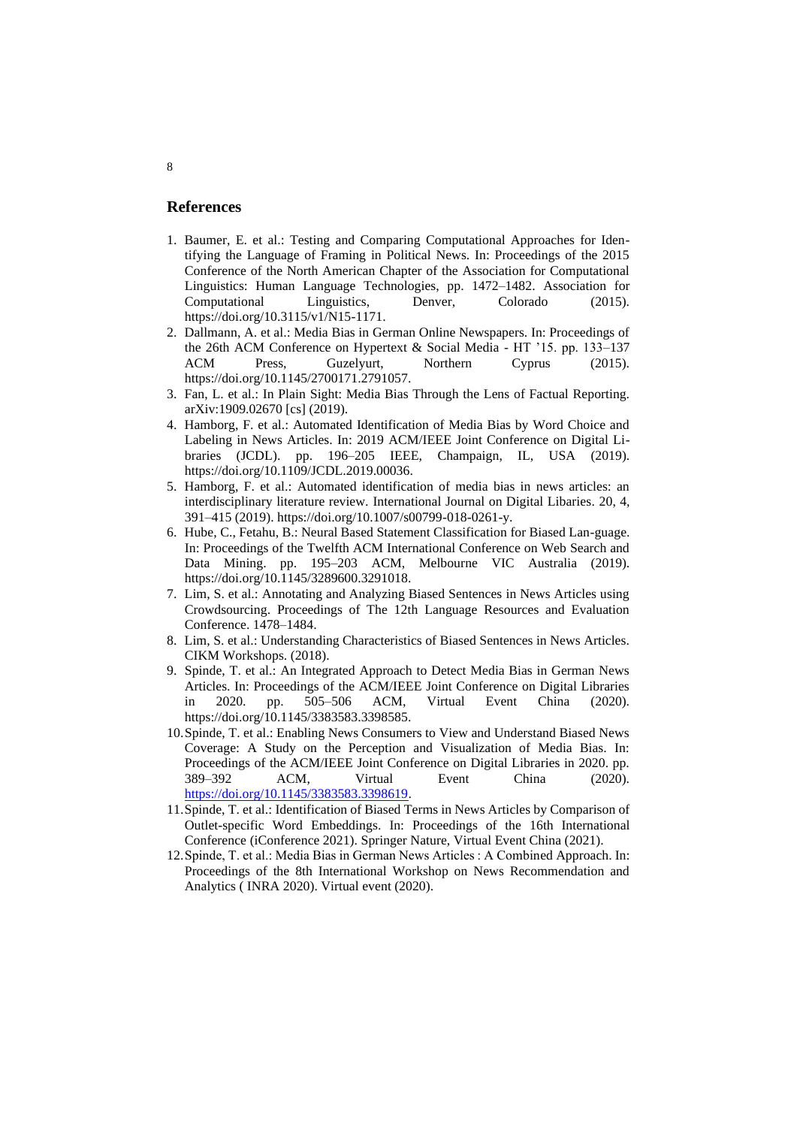#### **References**

- 1. Baumer, E. et al.: Testing and Comparing Computational Approaches for Identifying the Language of Framing in Political News. In: Proceedings of the 2015 Conference of the North American Chapter of the Association for Computational Linguistics: Human Language Technologies, pp. 1472–1482. Association for Computational Linguistics, Denver, Colorado (2015). https://doi.org/10.3115/v1/N15-1171.
- 2. Dallmann, A. et al.: Media Bias in German Online Newspapers. In: Proceedings of the 26th ACM Conference on Hypertext & Social Media - HT '15. pp. 133–137 ACM Press, Guzelyurt, Northern Cyprus (2015). https://doi.org/10.1145/2700171.2791057.
- 3. Fan, L. et al.: In Plain Sight: Media Bias Through the Lens of Factual Reporting. arXiv:1909.02670 [cs] (2019).
- 4. Hamborg, F. et al.: Automated Identification of Media Bias by Word Choice and Labeling in News Articles. In: 2019 ACM/IEEE Joint Conference on Digital Libraries (JCDL). pp. 196–205 IEEE, Champaign, IL, USA (2019). https://doi.org/10.1109/JCDL.2019.00036.
- 5. Hamborg, F. et al.: Automated identification of media bias in news articles: an interdisciplinary literature review. International Journal on Digital Libaries. 20, 4, 391–415 (2019). https://doi.org/10.1007/s00799-018-0261-y.
- 6. Hube, C., Fetahu, B.: Neural Based Statement Classification for Biased Lan-guage. In: Proceedings of the Twelfth ACM International Conference on Web Search and Data Mining. pp. 195–203 ACM, Melbourne VIC Australia (2019). https://doi.org/10.1145/3289600.3291018.
- 7. Lim, S. et al.: Annotating and Analyzing Biased Sentences in News Articles using Crowdsourcing. Proceedings of The 12th Language Resources and Evaluation Conference. 1478–1484.
- 8. Lim, S. et al.: Understanding Characteristics of Biased Sentences in News Articles. CIKM Workshops. (2018).
- 9. Spinde, T. et al.: An Integrated Approach to Detect Media Bias in German News Articles. In: Proceedings of the ACM/IEEE Joint Conference on Digital Libraries in 2020. pp. 505–506 ACM, Virtual Event China (2020). https://doi.org/10.1145/3383583.3398585.
- 10.Spinde, T. et al.: Enabling News Consumers to View and Understand Biased News Coverage: A Study on the Perception and Visualization of Media Bias. In: Proceedings of the ACM/IEEE Joint Conference on Digital Libraries in 2020. pp. 389–392 ACM, Virtual Event China (2020). [https://doi.org/10.1145/3383583.3398619.](https://doi.org/10.1145/3383583.3398619)
- 11.Spinde, T. et al.: Identification of Biased Terms in News Articles by Comparison of Outlet-specific Word Embeddings. In: Proceedings of the 16th International Conference (iConference 2021). Springer Nature, Virtual Event China (2021).
- 12.Spinde, T. et al.: Media Bias in German News Articles : A Combined Approach. In: Proceedings of the 8th International Workshop on News Recommendation and Analytics ( INRA 2020). Virtual event (2020).

8